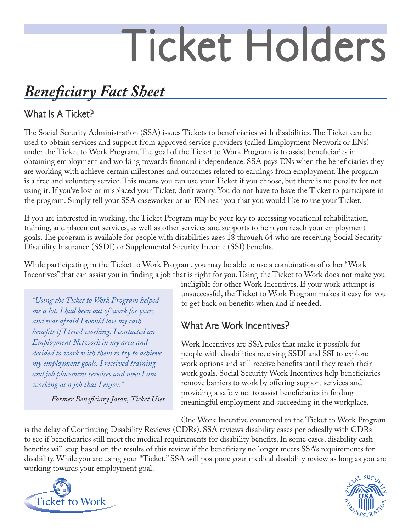# Ticket Holders

## *Beneficiary Fact Sheet*

## What Is A Ticket?

The Social Security Administration (SSA) issues Tickets to beneficiaries with disabilities. The Ticket can be used to obtain services and support from approved service providers (called Employment Network or ENs) under the Ticket to Work Program. The goal of the Ticket to Work Program is to assist beneficiaries in obtaining employment and working towards financial independence. SSA pays ENs when the beneficiaries they are working with achieve certain milestones and outcomes related to earnings from employment. The program is a free and voluntary service. This means you can use your Ticket if you choose, but there is no penalty for not using it. If you've lost or misplaced your Ticket, don't worry. You do not have to have the Ticket to participate in the program. Simply tell your SSA caseworker or an EN near you that you would like to use your Ticket.

If you are interested in working, the Ticket Program may be your key to accessing vocational rehabilitation, training, and placement services, as well as other services and supports to help you reach your employment goals. The program is available for people with disabilities ages 18 through 64 who are receiving Social Security Disability Insurance (SSDI) or Supplemental Security Income (SSI) benefits.

While participating in the Ticket to Work Program, you may be able to use a combination of other "Work Incentives" that can assist you in finding a job that is right for you. Using the Ticket to Work does not make you

*"Using the Ticket to Work Program helped me a lot. I had been out of work for years and was afraid I would lose my cash benefits if I tried working. I contacted an Employment Network in my area and decided to work with them to try to achieve my employment goals. I received training and job placement services and now I am working at a job that I enjoy."*

*Former Beneficiary Jason, Ticket User*

ineligible for other Work Incentives. If your work attempt is unsuccessful, the Ticket to Work Program makes it easy for you to get back on benefits when and if needed.

## What Are Work Incentives?

Work Incentives are SSA rules that make it possible for people with disabilities receiving SSDI and SSI to explore work options and still receive benefits until they reach their work goals. Social Security Work Incentives help beneficiaries remove barriers to work by offering support services and providing a safety net to assist beneficiaries in finding meaningful employment and succeeding in the workplace.

One Work Incentive connected to the Ticket to Work Program

is the delay of Continuing Disability Reviews (CDRs). SSA reviews disability cases periodically with CDRs to see if beneficiaries still meet the medical requirements for disability benefits. In some cases, disability cash benefits will stop based on the results of this review if the beneficiary no longer meets SSA's requirements for disability. While you are using your "Ticket," SSA will postpone your medical disability review as long as you are working towards your employment goal.